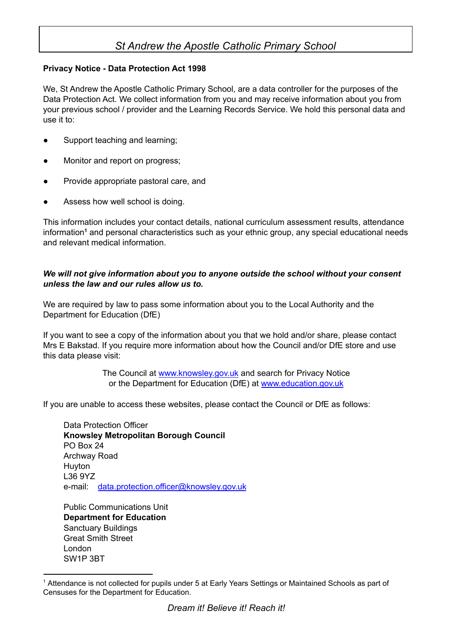## *St Andrew the Apostle Catholic Primary School*

## **Privacy Notice - Data Protection Act 1998**

We, St Andrew the Apostle Catholic Primary School, are a data controller for the purposes of the Data Protection Act. We collect information from you and may receive information about you from your previous school / provider and the Learning Records Service. We hold this personal data and use it to:

- Support teaching and learning;
- Monitor and report on progress;
- Provide appropriate pastoral care, and
- Assess how well school is doing.

This information includes your contact details, national curriculum assessment results, attendance information<sup>1</sup> and personal characteristics such as your ethnic group, any special educational needs and relevant medical information.

## *We will not give information about you to anyone outside the school without your consent unless the law and our rules allow us to.*

We are required by law to pass some information about you to the Local Authority and the Department for Education (DfE)

If you want to see a copy of the information about you that we hold and/or share, please contact Mrs E Bakstad. If you require more information about how the Council and/or DfE store and use this data please visit:

> The Council at [www.knowsley.gov.uk](http://www.knowsley.gov.uk/) and search for Privacy Notice or the Department for Education (DfE) at [www.education.gov.uk](http://www.education.gov.uk/)

If you are unable to access these websites, please contact the Council or DfE as follows:

Data Protection Officer **Knowsley Metropolitan Borough Council** PO Box 24 Archway Road Huyton L36 9YZ e-mail: data.protection.officer@knowsley.gov.uk

Public Communications Unit **Department for Education** Sanctuary Buildings Great Smith Street London SW1P 3BT

<sup>&</sup>lt;sup>1</sup> Attendance is not collected for pupils under 5 at Early Years Settings or Maintained Schools as part of Censuses for the Department for Education.